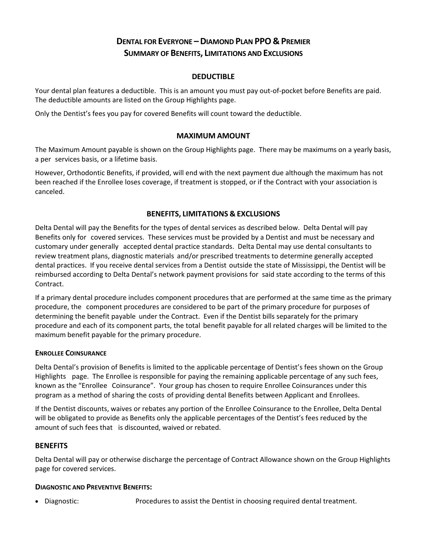# **DENTAL FOR EVERYONE –DIAMOND PLAN PPO & PREMIER SUMMARY OF BENEFITS, LIMITATIONS AND EXCLUSIONS**

# **DEDUCTIBLE**

Your dental plan features a deductible. This is an amount you must pay out‐of‐pocket before Benefits are paid. The deductible amounts are listed on the Group Highlights page.

Only the Dentist's fees you pay for covered Benefits will count toward the deductible.

## **MAXIMUM AMOUNT**

The Maximum Amount payable is shown on the Group Highlights page. There may be maximums on a yearly basis, a per services basis, or a lifetime basis.

However, Orthodontic Benefits, if provided, will end with the next payment due although the maximum has not been reached if the Enrollee loses coverage, if treatment is stopped, or if the Contract with your association is canceled.

## **BENEFITS, LIMITATIONS & EXCLUSIONS**

Delta Dental will pay the Benefits for the types of dental services as described below. Delta Dental will pay Benefits only for covered services. These services must be provided by a Dentist and must be necessary and customary under generally accepted dental practice standards. Delta Dental may use dental consultants to review treatment plans, diagnostic materials and/or prescribed treatments to determine generally accepted dental practices. If you receive dental services from a Dentist outside the state of Mississippi, the Dentist will be reimbursed according to Delta Dental's network payment provisions for said state according to the terms of this Contract.

If a primary dental procedure includes component procedures that are performed at the same time as the primary procedure, the component procedures are considered to be part of the primary procedure for purposes of determining the benefit payable under the Contract. Even if the Dentist bills separately for the primary procedure and each of its component parts, the total benefit payable for all related charges will be limited to the maximum benefit payable for the primary procedure.

#### **ENROLLEE COINSURANCE**

Delta Dental's provision of Benefits is limited to the applicable percentage of Dentist's fees shown on the Group Highlights page. The Enrollee is responsible for paying the remaining applicable percentage of any such fees, known as the "Enrollee Coinsurance". Your group has chosen to require Enrollee Coinsurances under this program as a method of sharing the costs of providing dental Benefits between Applicant and Enrollees.

If the Dentist discounts, waives or rebates any portion of the Enrollee Coinsurance to the Enrollee, Delta Dental will be obligated to provide as Benefits only the applicable percentages of the Dentist's fees reduced by the amount of such fees that is discounted, waived or rebated.

# **BENEFITS**

Delta Dental will pay or otherwise discharge the percentage of Contract Allowance shown on the Group Highlights page for covered services.

#### **DIAGNOSTIC AND PREVENTIVE BENEFITS:**

Diagnostic: Procedures to assist the Dentist in choosing required dental treatment.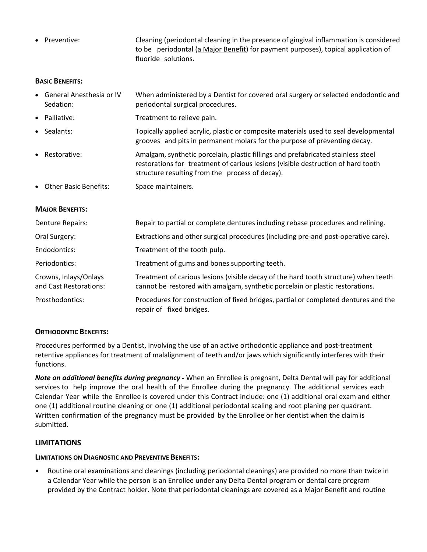Preventive: Cleaning (periodontal cleaning in the presence of gingival inflammation is considered to be periodontal (a Major Benefit) for payment purposes), topical application of fluoride solutions.

#### **BASIC BENEFITS:**

- General Anesthesia or IV Sedation: When administered by a Dentist for covered oral surgery or selected endodontic and periodontal surgical procedures.
- Palliative: Treatment to relieve pain.
- Sealants: Topically applied acrylic, plastic or composite materials used to seal developmental grooves and pits in permanent molars for the purpose of preventing decay.
- Restorative: Amalgam, synthetic porcelain, plastic fillings and prefabricated stainless steel restorations for treatment of carious lesions (visible destruction of hard tooth structure resulting from the process of decay).
- Other Basic Benefits: Space maintainers.

# **MAJOR BENEFITS:**

| Denture Repairs:                                | Repair to partial or complete dentures including rebase procedures and relining.                                                                                     |
|-------------------------------------------------|----------------------------------------------------------------------------------------------------------------------------------------------------------------------|
| Oral Surgery:                                   | Extractions and other surgical procedures (including pre-and post-operative care).                                                                                   |
| Endodontics:                                    | Treatment of the tooth pulp.                                                                                                                                         |
| Periodontics:                                   | Treatment of gums and bones supporting teeth.                                                                                                                        |
| Crowns, Inlays/Onlays<br>and Cast Restorations: | Treatment of carious lesions (visible decay of the hard tooth structure) when teeth<br>cannot be restored with amalgam, synthetic porcelain or plastic restorations. |
| Prosthodontics:                                 | Procedures for construction of fixed bridges, partial or completed dentures and the<br>repair of fixed bridges.                                                      |

# **ORTHODONTIC BENEFITS:**

Procedures performed by a Dentist, involving the use of an active orthodontic appliance and post‐treatment retentive appliances for treatment of malalignment of teeth and/or jaws which significantly interferes with their functions.

*Note on additional benefits during pregnancy* **‐** When an Enrollee is pregnant, Delta Dental will pay for additional services to help improve the oral health of the Enrollee during the pregnancy. The additional services each Calendar Year while the Enrollee is covered under this Contract include: one (1) additional oral exam and either one (1) additional routine cleaning or one (1) additional periodontal scaling and root planing per quadrant. Written confirmation of the pregnancy must be provided by the Enrollee or her dentist when the claim is submitted.

# **LIMITATIONS**

# **LIMITATIONS ON DIAGNOSTIC AND PREVENTIVE BENEFITS:**

• Routine oral examinations and cleanings (including periodontal cleanings) are provided no more than twice in a Calendar Year while the person is an Enrollee under any Delta Dental program or dental care program provided by the Contract holder. Note that periodontal cleanings are covered as a Major Benefit and routine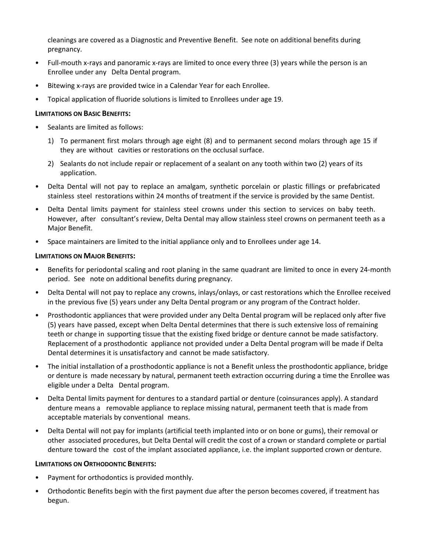cleanings are covered as a Diagnostic and Preventive Benefit. See note on additional benefits during pregnancy.

- Full-mouth x-rays and panoramic x-rays are limited to once every three (3) years while the person is an Enrollee under any Delta Dental program.
- Bitewing x‐rays are provided twice in a Calendar Year for each Enrollee.
- Topical application of fluoride solutions is limited to Enrollees under age 19.

### **LIMITATIONS ON BASIC BENEFITS:**

- Sealants are limited as follows:
	- 1) To permanent first molars through age eight (8) and to permanent second molars through age 15 if they are without cavities or restorations on the occlusal surface.
	- 2) Sealants do not include repair or replacement of a sealant on any tooth within two (2) years of its application.
- Delta Dental will not pay to replace an amalgam, synthetic porcelain or plastic fillings or prefabricated stainless steel restorations within 24 months of treatment if the service is provided by the same Dentist.
- Delta Dental limits payment for stainless steel crowns under this section to services on baby teeth. However, after consultant's review, Delta Dental may allow stainless steel crowns on permanent teeth as a Major Benefit.
- Space maintainers are limited to the initial appliance only and to Enrollees under age 14.

#### **LIMITATIONS ON MAJOR BENEFITS:**

- Benefits for periodontal scaling and root planing in the same quadrant are limited to once in every 24‐month period. See note on additional benefits during pregnancy.
- Delta Dental will not pay to replace any crowns, inlays/onlays, or cast restorations which the Enrollee received in the previous five (5) years under any Delta Dental program or any program of the Contract holder.
- Prosthodontic appliances that were provided under any Delta Dental program will be replaced only after five (5) years have passed, except when Delta Dental determines that there is such extensive loss of remaining teeth or change in supporting tissue that the existing fixed bridge or denture cannot be made satisfactory. Replacement of a prosthodontic appliance not provided under a Delta Dental program will be made if Delta Dental determines it is unsatisfactory and cannot be made satisfactory.
- The initial installation of a prosthodontic appliance is not a Benefit unless the prosthodontic appliance, bridge or denture is made necessary by natural, permanent teeth extraction occurring during a time the Enrollee was eligible under a Delta Dental program.
- Delta Dental limits payment for dentures to a standard partial or denture (coinsurances apply). A standard denture means a removable appliance to replace missing natural, permanent teeth that is made from acceptable materials by conventional means.
- Delta Dental will not pay for implants (artificial teeth implanted into or on bone or gums), their removal or other associated procedures, but Delta Dental will credit the cost of a crown or standard complete or partial denture toward the cost of the implant associated appliance, i.e. the implant supported crown or denture.

#### **LIMITATIONS ON ORTHODONTIC BENEFITS:**

- Payment for orthodontics is provided monthly.
- Orthodontic Benefits begin with the first payment due after the person becomes covered, if treatment has begun.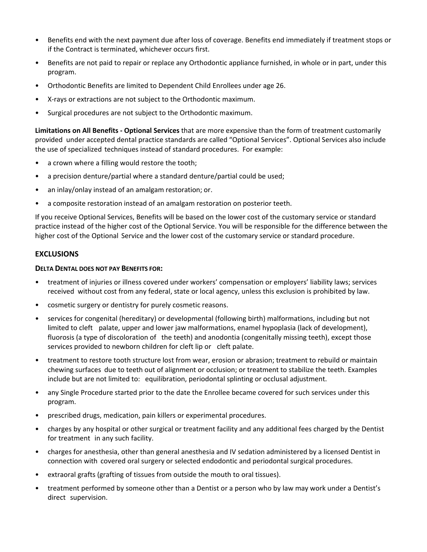- Benefits end with the next payment due after loss of coverage. Benefits end immediately if treatment stops or if the Contract is terminated, whichever occurs first.
- Benefits are not paid to repair or replace any Orthodontic appliance furnished, in whole or in part, under this program.
- Orthodontic Benefits are limited to Dependent Child Enrollees under age 26.
- X‐rays or extractions are not subject to the Orthodontic maximum.
- Surgical procedures are not subject to the Orthodontic maximum.

**Limitations on All Benefits ‐ Optional Services** that are more expensive than the form of treatment customarily provided under accepted dental practice standards are called "Optional Services". Optional Services also include the use of specialized techniques instead of standard procedures. For example:

- a crown where a filling would restore the tooth;
- a precision denture/partial where a standard denture/partial could be used;
- an inlay/onlay instead of an amalgam restoration; or.
- a composite restoration instead of an amalgam restoration on posterior teeth.

If you receive Optional Services, Benefits will be based on the lower cost of the customary service or standard practice instead of the higher cost of the Optional Service. You will be responsible for the difference between the higher cost of the Optional Service and the lower cost of the customary service or standard procedure.

## **EXCLUSIONS**

#### **DELTA DENTAL DOES NOT PAY BENEFITS FOR:**

- treatment of injuries or illness covered under workers' compensation or employers' liability laws; services received without cost from any federal, state or local agency, unless this exclusion is prohibited by law.
- cosmetic surgery or dentistry for purely cosmetic reasons.
- services for congenital (hereditary) or developmental (following birth) malformations, including but not limited to cleft palate, upper and lower jaw malformations, enamel hypoplasia (lack of development), fluorosis (a type of discoloration of the teeth) and anodontia (congenitally missing teeth), except those services provided to newborn children for cleft lip or cleft palate.
- treatment to restore tooth structure lost from wear, erosion or abrasion; treatment to rebuild or maintain chewing surfaces due to teeth out of alignment or occlusion; or treatment to stabilize the teeth. Examples include but are not limited to: equilibration, periodontal splinting or occlusal adjustment.
- any Single Procedure started prior to the date the Enrollee became covered for such services under this program.
- prescribed drugs, medication, pain killers or experimental procedures.
- charges by any hospital or other surgical or treatment facility and any additional fees charged by the Dentist for treatment in any such facility.
- charges for anesthesia, other than general anesthesia and IV sedation administered by a licensed Dentist in connection with covered oral surgery or selected endodontic and periodontal surgical procedures.
- extraoral grafts (grafting of tissues from outside the mouth to oral tissues).
- treatment performed by someone other than a Dentist or a person who by law may work under a Dentist's direct supervision.